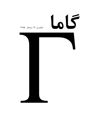## 66

## شماره ی ِ ۱۳، زمستان ِ ۱۳۸۵

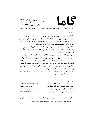

www.gammajournal.com editors@gammajournal.com ISSN 1735.1286

 $-1 - 3$ 

● ناما فصلنامه ای است به زبان <sub>-</sub> فارسی، در باره ی ِ فیزیک. ۱ن چه در ناما منتشر میشود بیشتر -) 1 2 3 <sup>8</sup> : )- -) #1 2 <sup>3</sup> ; - & <" <sup>=</sup> 3 . " -) # \* =. > ? ایران است، و فرار است جنبه ی ِ اموزشی و فرهنگی داشته باشد و برای دانشجویان ِ فیزیک یا دانش آموخته کان \_ فیزیک، یا دستِ کم بخش ی از آنها فابلاستفاده باشد. ● مقالههای کاما نوعا تالیقی اند. سعی بر این است که فقط مقالهها ی ِ گلاسیک ِ فیزیک، و - توسيس بي علي المستقدم التي يتروت التي السرب التي تتوسيق المستقدم المستقدم المستقدم المستقدم المستقدم المستقد 0 A( Q-& \$-5 6= ● برا ی\_ تماس با کاما، و از جمله فرستادن \_ مقاله، لطفا با یک ی از ویراستاران \_ کاما تماس بخیرید. ● پذیرش \_ مقاله با هیئت \_ ویراستاران و بر اساس \_ روش \_ متداول \_ داوری توسط \_ داور \_ ناشناس است. \*\*\* د∴ر رت∢ روپ را و سال در را و در س ها کا کا کا است کی ایک است کا است است کا در است کا است کر در است کا ایک است که این کار کرد که این کار کرد که ا • مفالهی پذیرفته شده، پیش از چاپ، بر اساس <sub>-</sub> آخرین نسخه ای که نویسنده فرستاده حروفچینی مني سوير و پس از پاييد - پوسستان ست چې چې سي سويل \_ ● ۞ تمام \_ حقوق \_ مادّي و معنوي ي\_ آن چه در گاما منتشر ميشود متعلق است به گاما، مگر در 0\*( 4\* \_D + M .F )-

|                           | ويراستاران:                                        |
|---------------------------|----------------------------------------------------|
| a_aghamohammadi@yahoo.com | • امیر ِ آقامحمّدی، دانش گاه ِ الزّهرا، تهران      |
| shariati@mailaps.org      | • احمد ِ شریعتی (سردبیر)، دانشگاه ِ الزّهرا، تهران |
| ashafie@gammajournal.com  | • عزیزاله _ شفیعخانی، دانشگاه _ الزّهرا، تهران     |
| fatho@mail.cern.ch        | • امیرحسین ِ فتحاللهی، دانشگاه ِ الزّهرا، تهران    |

- تاريخ \_ انتشار ١٣٨٥/١٢/٥ شمارگان: ۱۰۰۰ نسخه <sup>1</sup> تاریخ لہ لیتوگرافی چاپ و صحافی : و زارت فرهنگ و ارشاد اسلامی سازمان چاپ و انتشارات  $^{-1}$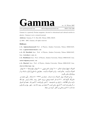www.gammajournal.com

editors@gammajournal.com

ISSN 1735.1286

Gamma is a quarterly Persian magazine, devoted to educational and cultural articles in physics. Gamma is not a research journal.

Address: Gamma, P. O. Box 633, Tehran 19935, IRAN.

 $\circ$  2004 - 2007, Gamma, all rights reserved.

## Editors

• A. Aghamohammadi Prof. of Physics, Alzahra University, Tehran 19938-91167, Iran. a\_aghamohammadi@yahoo.com

• A. H. Fatollahi Asoc. Prof. of Physics, Alzahra University, Tehran 19938-91167, Iran. fatho@mail.cern.ch

• A. Shafikhani Asoc. Prof. of Physics, Alzahra University, Tehran 19938-91167, Iran. ashafie@gammajournal.com

• A. Shariati Asoc. Prof. of Physics, Alzahra University, Tehran 19938-91167, Iran. shariati@mailaps.org

اشتراک (چهار شماره) عادّی ۲۰۰۰ تومان، دانش جویبی ۴۰۰۰ تومان، مؤسسهها ۸۰۰۰ تومان. اشتراک با یُست ِ عادّی است. برا ی ِ اشتراک با پُست ِ سفارشی، یا خارج از ایران، با یک ی از ویراستاران تماس یگیرید.

برا ی ِ اشتراک، پول ِ اشتراک را به حساب ِ شماره ی ِ ۲۳۷۹ ه ۸۰ ، بانک ِ ملّی، شعبه ی دانش گاه \_ الّزهرا (کد \_ ٢٢١) به نام \_ احمد شریعتی، بریزید. اصل \_ رسید \_ بانک را پیش \_ خود نگه دارید، و این اطلاعات ِ را برای ی ِ ما بفرستید: ١) اسم ِ واریزکننده، ٢) اسم و کد ِ شعبه ای که پول در آن واریز شده است، ۳) تاریخ ِ واریز کردن، ۴) شماره ی ِ رسید، ۵) عدد ِ دقیق ِ پول ی که واریز شده است، ٦) اسم و نشانبي ي کامل کيرنده ي مجله.